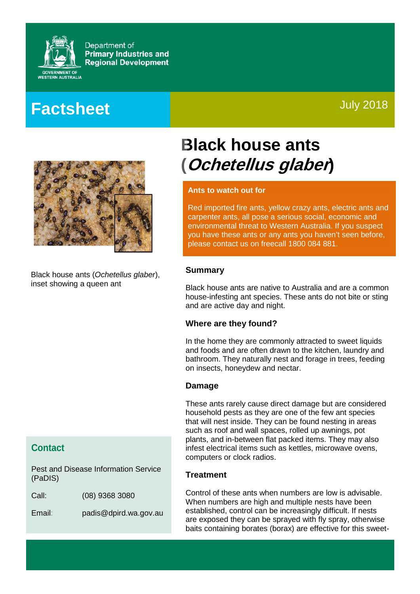

Department of **Primary Industries and Regional Development** 

## **Factsheet**

### July 2018



Black house ants (*Ochetellus glaber*), inset showing a queen ant

### **Contact**

Pest and Disease Information Service (PaDIS)

Call: (08) 9368 3080

Email: padis@dpird.wa.gov.au

# **Black house ants (Ochetellus glaber)**

#### **Ants to watch out for**

Red imported fire ants, yellow crazy ants, electric ants and carpenter ants, all pose a serious social, economic and environmental threat to Western Australia. If you suspect you have these ants or any ants you haven't seen before, please contact us on freecall 1800 084 881.

#### **Summary**

Black house ants are native to Australia and are a common house-infesting ant species. These ants do not bite or sting and are active day and night.

#### **Where are they found?**

In the home they are commonly attracted to sweet liquids and foods and are often drawn to the kitchen, laundry and bathroom. They naturally nest and forage in trees, feeding on insects, honeydew and nectar.

#### **Damage**

These ants rarely cause direct damage but are considered household pests as they are one of the few ant species that will nest inside. They can be found nesting in areas such as roof and wall spaces, rolled up awnings, pot plants, and in-between flat packed items. They may also infest electrical items such as kettles, microwave ovens, computers or clock radios.

#### **Treatment**

Control of these ants when numbers are low is advisable. When numbers are high and multiple nests have been established, control can be increasingly difficult. If nests are exposed they can be sprayed with fly spray, otherwise baits containing borates (borax) are effective for this sweet-